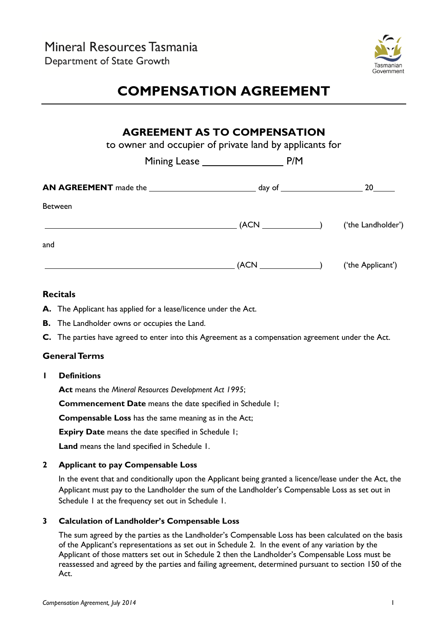

# **COMPENSATION AGREEMENT**

### **AGREEMENT AS TO COMPENSATION**

to owner and occupier of private land by applicants for

|                | P/M<br>Mining Lease _______________                                                                                                                                                                                                                                                                                                            |                    |
|----------------|------------------------------------------------------------------------------------------------------------------------------------------------------------------------------------------------------------------------------------------------------------------------------------------------------------------------------------------------|--------------------|
|                |                                                                                                                                                                                                                                                                                                                                                | 20                 |
| <b>Between</b> |                                                                                                                                                                                                                                                                                                                                                |                    |
|                | $\sqrt{(ACN_1 + N_2 + N_3 + N_4 + N_5 + N_6 + N_7 + N_8 + N_9 + N_1 + N_1 + N_2 + N_1 + N_2 + N_3 + N_4 + N_5 + N_6 + N_7 + N_8 + N_9 + N_1 + N_1 + N_2 + N_3 + N_4 + N_5 + N_6 + N_7 + N_7 + N_8 + N_9 + N_9 + N_1 + N_1 + N_2 + N_3 + N_4 + N_5 + N_6 + N_6 + N_7 + N_7 + N_7 + N_8 + N_9 + N_9 + N_9 + N_1 + N_1 + N_1 + N_2 + N_3 + N_4 +$ | ('the Landholder') |
| and            |                                                                                                                                                                                                                                                                                                                                                |                    |
|                | $\overline{ACN}$                                                                                                                                                                                                                                                                                                                               | ('the Applicant')  |

#### **Recitals**

- **A.** The Applicant has applied for a lease/licence under the Act.
- **B.** The Landholder owns or occupies the Land.
- **C.** The parties have agreed to enter into this Agreement as a compensation agreement under the Act.

#### **General Terms**

**1 Definitions**

**Act** means the *Mineral Resources Development Act 1995*;

**Commencement Date** means the date specified in Schedule 1;

**Compensable Loss** has the same meaning as in the Act;

**Expiry Date** means the date specified in Schedule 1;

**Land** means the land specified in Schedule 1.

#### **2 Applicant to pay Compensable Loss**

In the event that and conditionally upon the Applicant being granted a licence/lease under the Act, the Applicant must pay to the Landholder the sum of the Landholder's Compensable Loss as set out in Schedule 1 at the frequency set out in Schedule 1.

#### **3 Calculation of Landholder's Compensable Loss**

The sum agreed by the parties as the Landholder's Compensable Loss has been calculated on the basis of the Applicant's representations as set out in Schedule 2. In the event of any variation by the Applicant of those matters set out in Schedule 2 then the Landholder's Compensable Loss must be reassessed and agreed by the parties and failing agreement, determined pursuant to section 150 of the Act.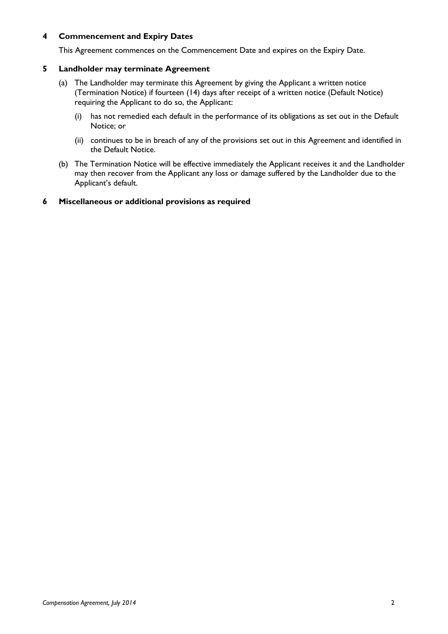#### **4 Commencement and Expiry Dates**

This Agreement commences on the Commencement Date and expires on the Expiry Date.

#### **5 Landholder may terminate Agreement**

- (a) The Landholder may terminate this Agreement by giving the Applicant a written notice (Termination Notice) if fourteen (14) days after receipt of a written notice (Default Notice) requiring the Applicant to do so, the Applicant:
	- (i) has not remedied each default in the performance of its obligations as set out in the Default Notice; or
	- (ii) continues to be in breach of any of the provisions set out in this Agreement and identified in the Default Notice.
- (b) The Termination Notice will be effective immediately the Applicant receives it and the Landholder may then recover from the Applicant any loss or damage suffered by the Landholder due to the Applicant's default.

#### **6 Miscellaneous or additional provisions as required**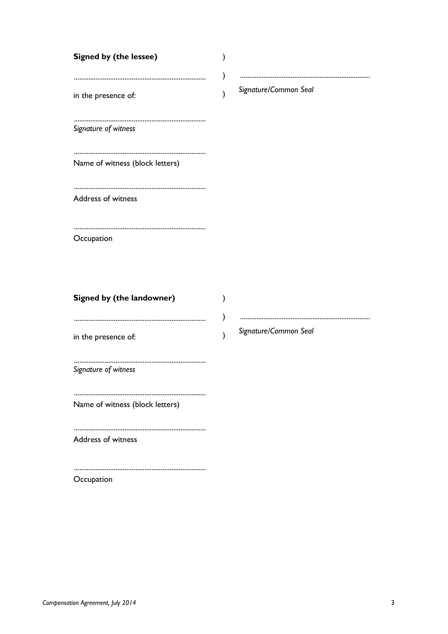| <b>Signed by (the lessee)</b><br>in the presence of:<br>Signature of witness | )             | Signature/Common Seal |
|------------------------------------------------------------------------------|---------------|-----------------------|
| Name of witness (block letters)                                              |               |                       |
| Address of witness                                                           |               |                       |
| Occupation                                                                   |               |                       |
| Signed by (the landowner)                                                    |               |                       |
| in the presence of:                                                          | $\mathcal{E}$ | Signature/Common Seal |
| Signature of witness                                                         |               |                       |
| Name of witness (block letters)                                              |               |                       |

Address of witness

Occupation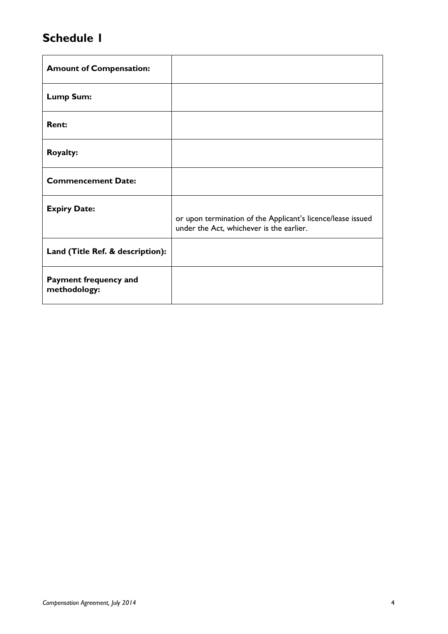## **Schedule 1**

| <b>Amount of Compensation:</b>        |                                                                                                         |
|---------------------------------------|---------------------------------------------------------------------------------------------------------|
| <b>Lump Sum:</b>                      |                                                                                                         |
| <b>Rent:</b>                          |                                                                                                         |
| <b>Royalty:</b>                       |                                                                                                         |
| <b>Commencement Date:</b>             |                                                                                                         |
| <b>Expiry Date:</b>                   | or upon termination of the Applicant's licence/lease issued<br>under the Act, whichever is the earlier. |
| Land (Title Ref. & description):      |                                                                                                         |
| Payment frequency and<br>methodology: |                                                                                                         |